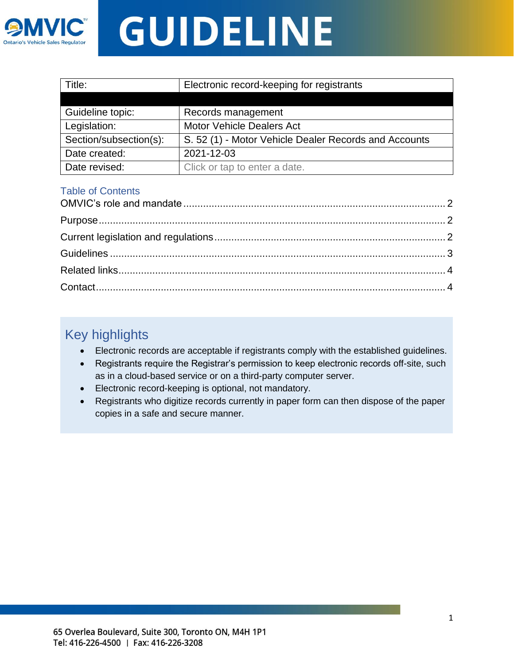

| Title:                 | Electronic record-keeping for registrants             |
|------------------------|-------------------------------------------------------|
|                        |                                                       |
| Guideline topic:       | Records management                                    |
| Legislation:           | <b>Motor Vehicle Dealers Act</b>                      |
| Section/subsection(s): | S. 52 (1) - Motor Vehicle Dealer Records and Accounts |
| Date created:          | 2021-12-03                                            |
| Date revised:          | Click or tap to enter a date.                         |

#### Table of Contents

## Key highlights

- Electronic records are acceptable if registrants comply with the established guidelines.
- Registrants require the Registrar's permission to keep electronic records off-site, such as in a cloud-based service or on a third-party computer server.
- Electronic record-keeping is optional, not mandatory.
- <span id="page-0-0"></span>• Registrants who digitize records currently in paper form can then dispose of the paper copies in a safe and secure manner.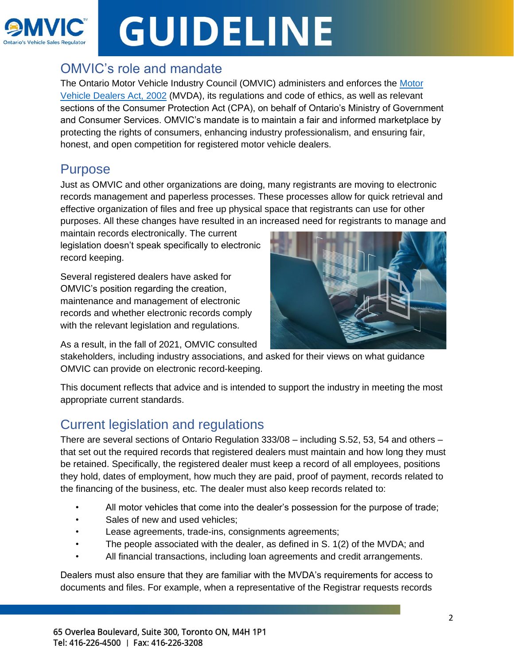

### OMVIC's role and mandate

The Ontario Motor Vehicle Industry Council (OMVIC) administers and enforces the [Motor](https://www.ontario.ca/laws/statute/02m30/v15)  [Vehicle Dealers Act, 2002](https://www.ontario.ca/laws/statute/02m30/v15) (MVDA), its regulations and code of ethics, as well as relevant sections of the Consumer Protection Act (CPA), on behalf of Ontario's Ministry of Government and Consumer Services. OMVIC's mandate is to maintain a fair and informed marketplace by protecting the rights of consumers, enhancing industry professionalism, and ensuring fair, honest, and open competition for registered motor vehicle dealers.

### <span id="page-1-0"></span>Purpose

Just as OMVIC and other organizations are doing, many registrants are moving to electronic records management and paperless processes. These processes allow for quick retrieval and effective organization of files and free up physical space that registrants can use for other purposes. All these changes have resulted in an increased need for registrants to manage and

maintain records electronically. The current legislation doesn't speak specifically to electronic record keeping.

Several registered dealers have asked for OMVIC's position regarding the creation, maintenance and management of electronic records and whether electronic records comply with the relevant legislation and regulations.



As a result, in the fall of 2021, OMVIC consulted

stakeholders, including industry associations, and asked for their views on what guidance OMVIC can provide on electronic record-keeping.

This document reflects that advice and is intended to support the industry in meeting the most appropriate current standards.

## <span id="page-1-1"></span>Current legislation and regulations

There are several sections of Ontario Regulation 333/08 – including S.52, 53, 54 and others – that set out the required records that registered dealers must maintain and how long they must be retained. Specifically, the registered dealer must keep a record of all employees, positions they hold, dates of employment, how much they are paid, proof of payment, records related to the financing of the business, etc. The dealer must also keep records related to:

- All motor vehicles that come into the dealer's possession for the purpose of trade;
- Sales of new and used vehicles;
- Lease agreements, trade-ins, consignments agreements;
- The people associated with the dealer, as defined in S. 1(2) of the MVDA; and
- All financial transactions, including loan agreements and credit arrangements.

Dealers must also ensure that they are familiar with the MVDA's requirements for access to documents and files. For example, when a representative of the Registrar requests records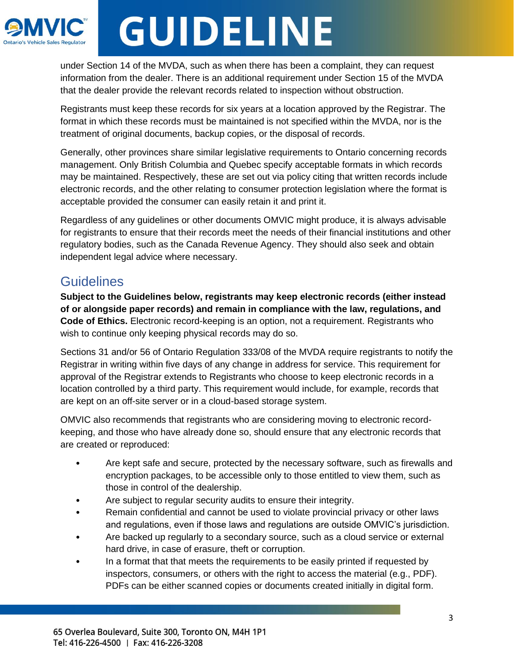

under Section 14 of the MVDA, such as when there has been a complaint, they can request information from the dealer. There is an additional requirement under Section 15 of the MVDA that the dealer provide the relevant records related to inspection without obstruction.

Registrants must keep these records for six years at a location approved by the Registrar. The format in which these records must be maintained is not specified within the MVDA, nor is the treatment of original documents, backup copies, or the disposal of records.

Generally, other provinces share similar legislative requirements to Ontario concerning records management. Only British Columbia and Quebec specify acceptable formats in which records may be maintained. Respectively, these are set out via policy citing that written records include electronic records, and the other relating to consumer protection legislation where the format is acceptable provided the consumer can easily retain it and print it.

Regardless of any guidelines or other documents OMVIC might produce, it is always advisable for registrants to ensure that their records meet the needs of their financial institutions and other regulatory bodies, such as the Canada Revenue Agency. They should also seek and obtain independent legal advice where necessary.

### <span id="page-2-0"></span>**Guidelines**

**Subject to the Guidelines below, registrants may keep electronic records (either instead of or alongside paper records) and remain in compliance with the law, regulations, and Code of Ethics.** Electronic record-keeping is an option, not a requirement. Registrants who wish to continue only keeping physical records may do so.

Sections 31 and/or 56 of Ontario Regulation 333/08 of the MVDA require registrants to notify the Registrar in writing within five days of any change in address for service. This requirement for approval of the Registrar extends to Registrants who choose to keep electronic records in a location controlled by a third party. This requirement would include, for example, records that are kept on an off-site server or in a cloud-based storage system.

OMVIC also recommends that registrants who are considering moving to electronic recordkeeping, and those who have already done so, should ensure that any electronic records that are created or reproduced:

- Are kept safe and secure, protected by the necessary software, such as firewalls and encryption packages, to be accessible only to those entitled to view them, such as those in control of the dealership.
- Are subject to regular security audits to ensure their integrity.
- Remain confidential and cannot be used to violate provincial privacy or other laws and regulations, even if those laws and regulations are outside OMVIC's jurisdiction.
- Are backed up regularly to a secondary source, such as a cloud service or external hard drive, in case of erasure, theft or corruption.
- In a format that that meets the requirements to be easily printed if requested by inspectors, consumers, or others with the right to access the material (e.g., PDF). PDFs can be either scanned copies or documents created initially in digital form.